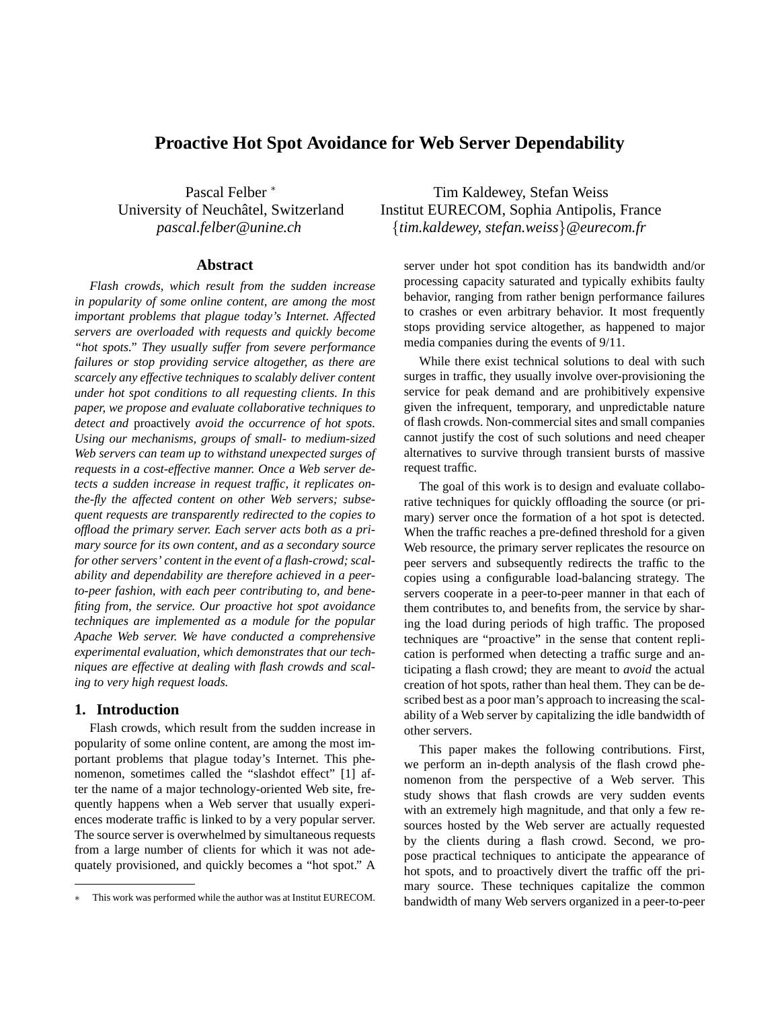# **Proactive Hot Spot Avoidance for Web Server Dependability**

Pascal Felber <sup>∗</sup> University of Neuchâtel, Switzerland *pascal.felber@unine.ch*

### **Abstract**

*Flash crowds, which result from the sudden increase in popularity of some online content, are among the most important problems that plague today's Internet. Affected servers are overloaded with requests and quickly become "hot spots." They usually suffer from severe performance failures or stop providing service altogether, as there are scarcely any effective techniques to scalably deliver content under hot spot conditions to all requesting clients. In this paper, we propose and evaluate collaborative techniques to detect and* proactively *avoid the occurrence of hot spots. Using our mechanisms, groups of small- to medium-sized Web servers can team up to withstand unexpected surges of requests in a cost-effective manner. Once a Web server detects a sudden increase in request traffic, it replicates onthe-fly the affected content on other Web servers; subsequent requests are transparently redirected to the copies to offload the primary server. Each server acts both as a primary source for its own content, and as a secondary source for other servers' content in the event of a flash-crowd; scalability and dependability are therefore achieved in a peerto-peer fashion, with each peer contributing to, and benefiting from, the service. Our proactive hot spot avoidance techniques are implemented as a module for the popular Apache Web server. We have conducted a comprehensive experimental evaluation, which demonstrates that our techniques are effective at dealing with flash crowds and scaling to very high request loads.*

### **1. Introduction**

Flash crowds, which result from the sudden increase in popularity of some online content, are among the most important problems that plague today's Internet. This phenomenon, sometimes called the "slashdot effect" [1] after the name of a major technology-oriented Web site, frequently happens when a Web server that usually experiences moderate traffic is linked to by a very popular server. The source server is overwhelmed by simultaneous requests from a large number of clients for which it was not adequately provisioned, and quickly becomes a "hot spot." A

Tim Kaldewey, Stefan Weiss Institut EURECOM, Sophia Antipolis, France {*tim.kaldewey, stefan.weiss*}*@eurecom.fr*

server under hot spot condition has its bandwidth and/or processing capacity saturated and typically exhibits faulty behavior, ranging from rather benign performance failures to crashes or even arbitrary behavior. It most frequently stops providing service altogether, as happened to major media companies during the events of 9/11.

While there exist technical solutions to deal with such surges in traffic, they usually involve over-provisioning the service for peak demand and are prohibitively expensive given the infrequent, temporary, and unpredictable nature of flash crowds. Non-commercial sites and small companies cannot justify the cost of such solutions and need cheaper alternatives to survive through transient bursts of massive request traffic.

The goal of this work is to design and evaluate collaborative techniques for quickly offloading the source (or primary) server once the formation of a hot spot is detected. When the traffic reaches a pre-defined threshold for a given Web resource, the primary server replicates the resource on peer servers and subsequently redirects the traffic to the copies using a configurable load-balancing strategy. The servers cooperate in a peer-to-peer manner in that each of them contributes to, and benefits from, the service by sharing the load during periods of high traffic. The proposed techniques are "proactive" in the sense that content replication is performed when detecting a traffic surge and anticipating a flash crowd; they are meant to *avoid* the actual creation of hot spots, rather than heal them. They can be described best as a poor man's approach to increasing the scalability of a Web server by capitalizing the idle bandwidth of other servers.

This paper makes the following contributions. First, we perform an in-depth analysis of the flash crowd phenomenon from the perspective of a Web server. This study shows that flash crowds are very sudden events with an extremely high magnitude, and that only a few resources hosted by the Web server are actually requested by the clients during a flash crowd. Second, we propose practical techniques to anticipate the appearance of hot spots, and to proactively divert the traffic off the primary source. These techniques capitalize the common bandwidth of many Web servers organized in a peer-to-peer

This work was performed while the author was at Institut EURECOM.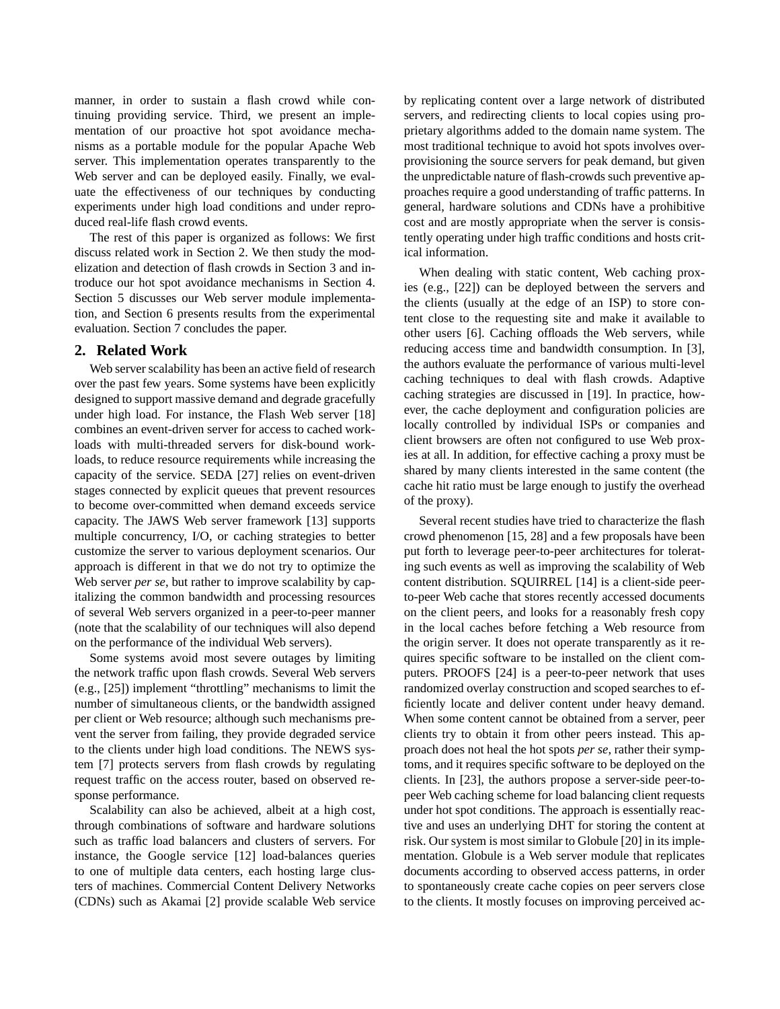manner, in order to sustain a flash crowd while continuing providing service. Third, we present an implementation of our proactive hot spot avoidance mechanisms as a portable module for the popular Apache Web server. This implementation operates transparently to the Web server and can be deployed easily. Finally, we evaluate the effectiveness of our techniques by conducting experiments under high load conditions and under reproduced real-life flash crowd events.

The rest of this paper is organized as follows: We first discuss related work in Section 2. We then study the modelization and detection of flash crowds in Section 3 and introduce our hot spot avoidance mechanisms in Section 4. Section 5 discusses our Web server module implementation, and Section 6 presents results from the experimental evaluation. Section 7 concludes the paper.

### **2. Related Work**

Web server scalability has been an active field of research over the past few years. Some systems have been explicitly designed to support massive demand and degrade gracefully under high load. For instance, the Flash Web server [18] combines an event-driven server for access to cached workloads with multi-threaded servers for disk-bound workloads, to reduce resource requirements while increasing the capacity of the service. SEDA [27] relies on event-driven stages connected by explicit queues that prevent resources to become over-committed when demand exceeds service capacity. The JAWS Web server framework [13] supports multiple concurrency, I/O, or caching strategies to better customize the server to various deployment scenarios. Our approach is different in that we do not try to optimize the Web server *per se*, but rather to improve scalability by capitalizing the common bandwidth and processing resources of several Web servers organized in a peer-to-peer manner (note that the scalability of our techniques will also depend on the performance of the individual Web servers).

Some systems avoid most severe outages by limiting the network traffic upon flash crowds. Several Web servers (e.g., [25]) implement "throttling" mechanisms to limit the number of simultaneous clients, or the bandwidth assigned per client or Web resource; although such mechanisms prevent the server from failing, they provide degraded service to the clients under high load conditions. The NEWS system [7] protects servers from flash crowds by regulating request traffic on the access router, based on observed response performance.

Scalability can also be achieved, albeit at a high cost, through combinations of software and hardware solutions such as traffic load balancers and clusters of servers. For instance, the Google service [12] load-balances queries to one of multiple data centers, each hosting large clusters of machines. Commercial Content Delivery Networks (CDNs) such as Akamai [2] provide scalable Web service by replicating content over a large network of distributed servers, and redirecting clients to local copies using proprietary algorithms added to the domain name system. The most traditional technique to avoid hot spots involves overprovisioning the source servers for peak demand, but given the unpredictable nature of flash-crowds such preventive approaches require a good understanding of traffic patterns. In general, hardware solutions and CDNs have a prohibitive cost and are mostly appropriate when the server is consistently operating under high traffic conditions and hosts critical information.

When dealing with static content, Web caching proxies (e.g., [22]) can be deployed between the servers and the clients (usually at the edge of an ISP) to store content close to the requesting site and make it available to other users [6]. Caching offloads the Web servers, while reducing access time and bandwidth consumption. In [3], the authors evaluate the performance of various multi-level caching techniques to deal with flash crowds. Adaptive caching strategies are discussed in [19]. In practice, however, the cache deployment and configuration policies are locally controlled by individual ISPs or companies and client browsers are often not configured to use Web proxies at all. In addition, for effective caching a proxy must be shared by many clients interested in the same content (the cache hit ratio must be large enough to justify the overhead of the proxy).

Several recent studies have tried to characterize the flash crowd phenomenon [15, 28] and a few proposals have been put forth to leverage peer-to-peer architectures for tolerating such events as well as improving the scalability of Web content distribution. SQUIRREL [14] is a client-side peerto-peer Web cache that stores recently accessed documents on the client peers, and looks for a reasonably fresh copy in the local caches before fetching a Web resource from the origin server. It does not operate transparently as it requires specific software to be installed on the client computers. PROOFS [24] is a peer-to-peer network that uses randomized overlay construction and scoped searches to efficiently locate and deliver content under heavy demand. When some content cannot be obtained from a server, peer clients try to obtain it from other peers instead. This approach does not heal the hot spots *per se*, rather their symptoms, and it requires specific software to be deployed on the clients. In [23], the authors propose a server-side peer-topeer Web caching scheme for load balancing client requests under hot spot conditions. The approach is essentially reactive and uses an underlying DHT for storing the content at risk. Our system is most similar to Globule [20] in its implementation. Globule is a Web server module that replicates documents according to observed access patterns, in order to spontaneously create cache copies on peer servers close to the clients. It mostly focuses on improving perceived ac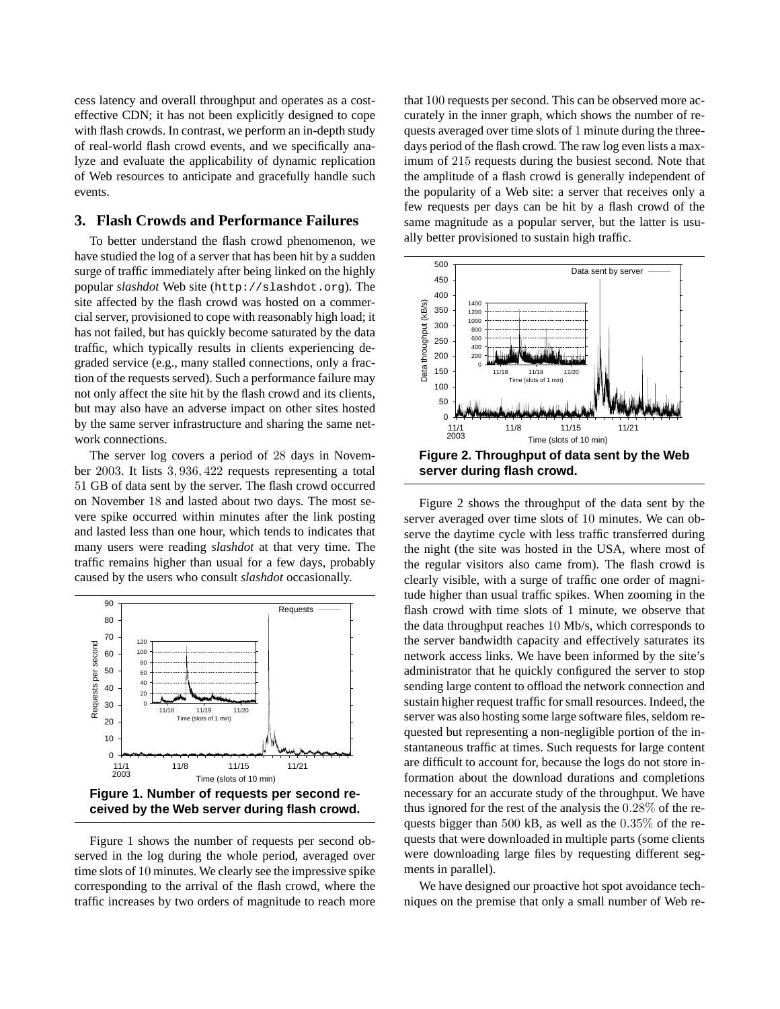cess latency and overall throughput and operates as a costeffective CDN; it has not been explicitly designed to cope with flash crowds. In contrast, we perform an in-depth study of real-world flash crowd events, and we specifically analyze and evaluate the applicability of dynamic replication of Web resources to anticipate and gracefully handle such events.

### **3. Flash Crowds and Performance Failures**

To better understand the flash crowd phenomenon, we have studied the log of a server that has been hit by a sudden surge of traffic immediately after being linked on the highly popular *slashdot* Web site (http://slashdot.org). The site affected by the flash crowd was hosted on a commercial server, provisioned to cope with reasonably high load; it has not failed, but has quickly become saturated by the data traffic, which typically results in clients experiencing degraded service (e.g., many stalled connections, only a fraction of the requests served). Such a performance failure may not only affect the site hit by the flash crowd and its clients, but may also have an adverse impact on other sites hosted by the same server infrastructure and sharing the same network connections.

The server log covers a period of 28 days in November 2003. It lists 3, 936, 422 requests representing a total 51 GB of data sent by the server. The flash crowd occurred on November 18 and lasted about two days. The most severe spike occurred within minutes after the link posting and lasted less than one hour, which tends to indicates that many users were reading *slashdot* at that very time. The traffic remains higher than usual for a few days, probably caused by the users who consult *slashdot* occasionally.



**ceived by the Web server during flash crowd.**

Figure 1 shows the number of requests per second observed in the log during the whole period, averaged over time slots of 10 minutes. We clearly see the impressive spike corresponding to the arrival of the flash crowd, where the traffic increases by two orders of magnitude to reach more

that 100 requests per second. This can be observed more accurately in the inner graph, which shows the number of requests averaged over time slots of 1 minute during the threedays period of the flash crowd. The raw log even lists a maximum of 215 requests during the busiest second. Note that the amplitude of a flash crowd is generally independent of the popularity of a Web site: a server that receives only a few requests per days can be hit by a flash crowd of the same magnitude as a popular server, but the latter is usually better provisioned to sustain high traffic.



Figure 2 shows the throughput of the data sent by the server averaged over time slots of 10 minutes. We can observe the daytime cycle with less traffic transferred during the night (the site was hosted in the USA, where most of the regular visitors also came from). The flash crowd is clearly visible, with a surge of traffic one order of magnitude higher than usual traffic spikes. When zooming in the flash crowd with time slots of 1 minute, we observe that the data throughput reaches 10 Mb/s, which corresponds to the server bandwidth capacity and effectively saturates its network access links. We have been informed by the site's administrator that he quickly configured the server to stop sending large content to offload the network connection and sustain higher request traffic for small resources. Indeed, the server was also hosting some large software files, seldom requested but representing a non-negligible portion of the instantaneous traffic at times. Such requests for large content are difficult to account for, because the logs do not store information about the download durations and completions necessary for an accurate study of the throughput. We have thus ignored for the rest of the analysis the 0.28% of the requests bigger than 500 kB, as well as the 0.35% of the requests that were downloaded in multiple parts (some clients were downloading large files by requesting different segments in parallel).

We have designed our proactive hot spot avoidance techniques on the premise that only a small number of Web re-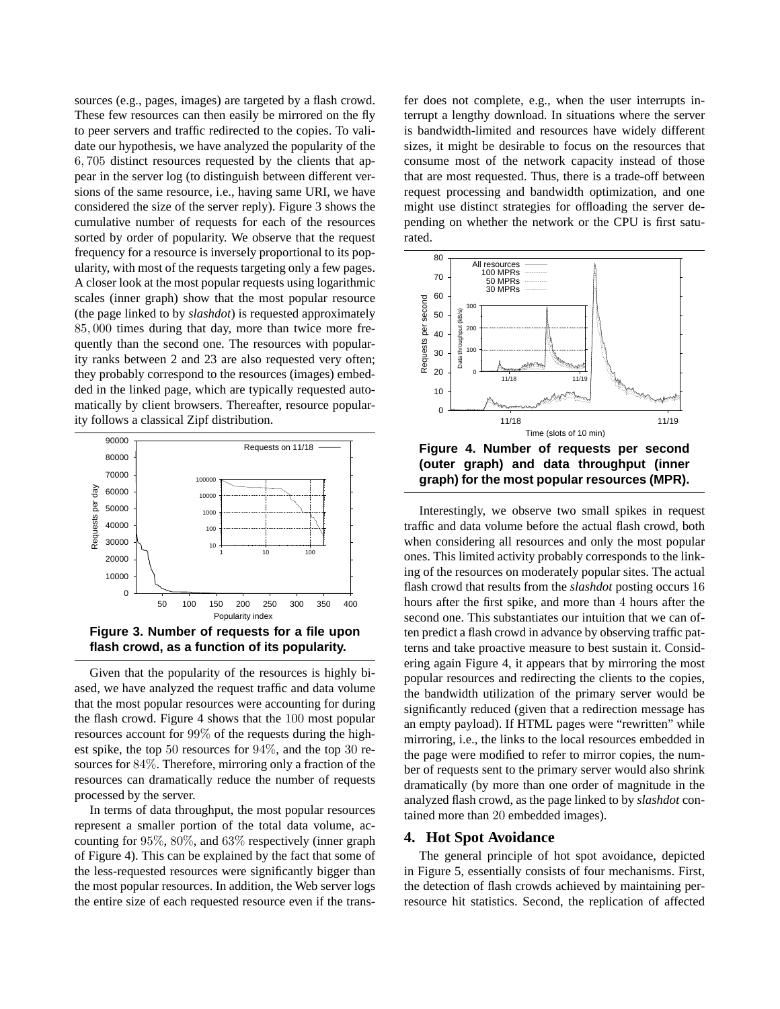sources (e.g., pages, images) are targeted by a flash crowd. These few resources can then easily be mirrored on the fly to peer servers and traffic redirected to the copies. To validate our hypothesis, we have analyzed the popularity of the 6, 705 distinct resources requested by the clients that appear in the server log (to distinguish between different versions of the same resource, i.e., having same URI, we have considered the size of the server reply). Figure 3 shows the cumulative number of requests for each of the resources sorted by order of popularity. We observe that the request frequency for a resource is inversely proportional to its popularity, with most of the requests targeting only a few pages. A closer look at the most popular requests using logarithmic scales (inner graph) show that the most popular resource (the page linked to by *slashdot*) is requested approximately 85, 000 times during that day, more than twice more frequently than the second one. The resources with popularity ranks between 2 and 23 are also requested very often; they probably correspond to the resources (images) embedded in the linked page, which are typically requested automatically by client browsers. Thereafter, resource popularity follows a classical Zipf distribution.



**Figure 3. Number of requests for a file upon flash crowd, as a function of its popularity.**

Given that the popularity of the resources is highly biased, we have analyzed the request traffic and data volume that the most popular resources were accounting for during the flash crowd. Figure 4 shows that the 100 most popular resources account for 99% of the requests during the highest spike, the top 50 resources for 94%, and the top 30 resources for 84%. Therefore, mirroring only a fraction of the resources can dramatically reduce the number of requests processed by the server.

In terms of data throughput, the most popular resources represent a smaller portion of the total data volume, accounting for 95%, 80%, and 63% respectively (inner graph of Figure 4). This can be explained by the fact that some of the less-requested resources were significantly bigger than the most popular resources. In addition, the Web server logs the entire size of each requested resource even if the trans-

fer does not complete, e.g., when the user interrupts interrupt a lengthy download. In situations where the server is bandwidth-limited and resources have widely different sizes, it might be desirable to focus on the resources that consume most of the network capacity instead of those that are most requested. Thus, there is a trade-off between request processing and bandwidth optimization, and one might use distinct strategies for offloading the server depending on whether the network or the CPU is first saturated.



**Figure 4. Number of requests per second (outer graph) and data throughput (inner graph) for the most popular resources (MPR).**

Interestingly, we observe two small spikes in request traffic and data volume before the actual flash crowd, both when considering all resources and only the most popular ones. This limited activity probably corresponds to the linking of the resources on moderately popular sites. The actual flash crowd that results from the *slashdot* posting occurs 16 hours after the first spike, and more than 4 hours after the second one. This substantiates our intuition that we can often predict a flash crowd in advance by observing traffic patterns and take proactive measure to best sustain it. Considering again Figure 4, it appears that by mirroring the most popular resources and redirecting the clients to the copies, the bandwidth utilization of the primary server would be significantly reduced (given that a redirection message has an empty payload). If HTML pages were "rewritten" while mirroring, i.e., the links to the local resources embedded in the page were modified to refer to mirror copies, the number of requests sent to the primary server would also shrink dramatically (by more than one order of magnitude in the analyzed flash crowd, as the page linked to by *slashdot* contained more than 20 embedded images).

#### **4. Hot Spot Avoidance**

The general principle of hot spot avoidance, depicted in Figure 5, essentially consists of four mechanisms. First, the detection of flash crowds achieved by maintaining perresource hit statistics. Second, the replication of affected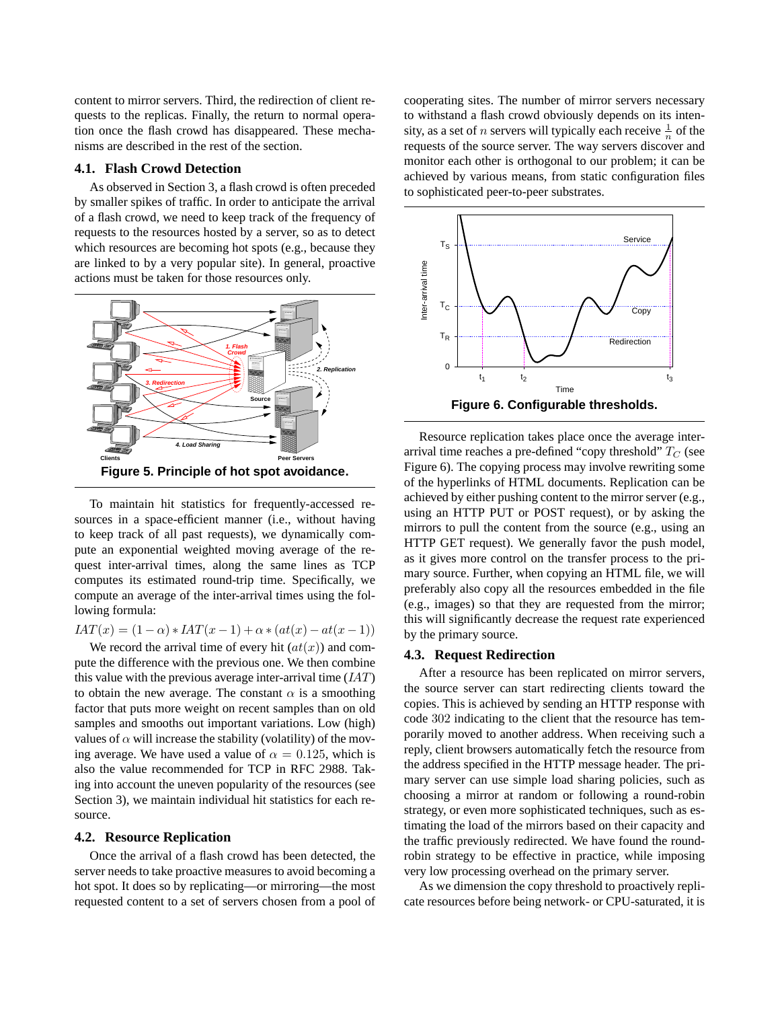content to mirror servers. Third, the redirection of client requests to the replicas. Finally, the return to normal operation once the flash crowd has disappeared. These mechanisms are described in the rest of the section.

### **4.1. Flash Crowd Detection**

As observed in Section 3, a flash crowd is often preceded by smaller spikes of traffic. In order to anticipate the arrival of a flash crowd, we need to keep track of the frequency of requests to the resources hosted by a server, so as to detect which resources are becoming hot spots (e.g., because they are linked to by a very popular site). In general, proactive actions must be taken for those resources only.



To maintain hit statistics for frequently-accessed resources in a space-efficient manner (i.e., without having to keep track of all past requests), we dynamically compute an exponential weighted moving average of the request inter-arrival times, along the same lines as TCP computes its estimated round-trip time. Specifically, we compute an average of the inter-arrival times using the following formula:

$$
IAT(x) = (1 - \alpha) * IAT(x - 1) + \alpha * (at(x) - at(x - 1))
$$

We record the arrival time of every hit  $(at(x))$  and compute the difference with the previous one. We then combine this value with the previous average inter-arrival time  $( IAT )$ to obtain the new average. The constant  $\alpha$  is a smoothing factor that puts more weight on recent samples than on old samples and smooths out important variations. Low (high) values of  $\alpha$  will increase the stability (volatility) of the moving average. We have used a value of  $\alpha = 0.125$ , which is also the value recommended for TCP in RFC 2988. Taking into account the uneven popularity of the resources (see Section 3), we maintain individual hit statistics for each resource.

#### **4.2. Resource Replication**

Once the arrival of a flash crowd has been detected, the server needs to take proactive measures to avoid becoming a hot spot. It does so by replicating—or mirroring—the most requested content to a set of servers chosen from a pool of cooperating sites. The number of mirror servers necessary to withstand a flash crowd obviously depends on its intensity, as a set of *n* servers will typically each receive  $\frac{1}{n}$  of the requests of the source server. The way servers discover and monitor each other is orthogonal to our problem; it can be achieved by various means, from static configuration files to sophisticated peer-to-peer substrates.



**EXECUTE RESOURCE THEOREM ARRIVE SERVER ATTIVAL THE REACHER ARRIVE SERVER SERVER SERVER SERVER SERVER SERVER SERVER SERVER SERVER SERVER SERVER SERVER SERVER SERVER SERVER SERVER SERVER SERVER SERVER SERVER SERVER SERVER Resource replication takes place once the average inter-**Figure 6). The copying process may involve rewriting some of the hyperlinks of HTML documents. Replication can be achieved by either pushing content to the mirror server (e.g., using an HTTP PUT or POST request), or by asking the mirrors to pull the content from the source (e.g., using an HTTP GET request). We generally favor the push model, as it gives more control on the transfer process to the primary source. Further, when copying an HTML file, we will preferably also copy all the resources embedded in the file (e.g., images) so that they are requested from the mirror; this will significantly decrease the request rate experienced by the primary source.

#### **4.3. Request Redirection**

After a resource has been replicated on mirror servers, the source server can start redirecting clients toward the copies. This is achieved by sending an HTTP response with code 302 indicating to the client that the resource has temporarily moved to another address. When receiving such a reply, client browsers automatically fetch the resource from the address specified in the HTTP message header. The primary server can use simple load sharing policies, such as choosing a mirror at random or following a round-robin strategy, or even more sophisticated techniques, such as estimating the load of the mirrors based on their capacity and the traffic previously redirected. We have found the roundrobin strategy to be effective in practice, while imposing very low processing overhead on the primary server.

As we dimension the copy threshold to proactively replicate resources before being network- or CPU-saturated, it is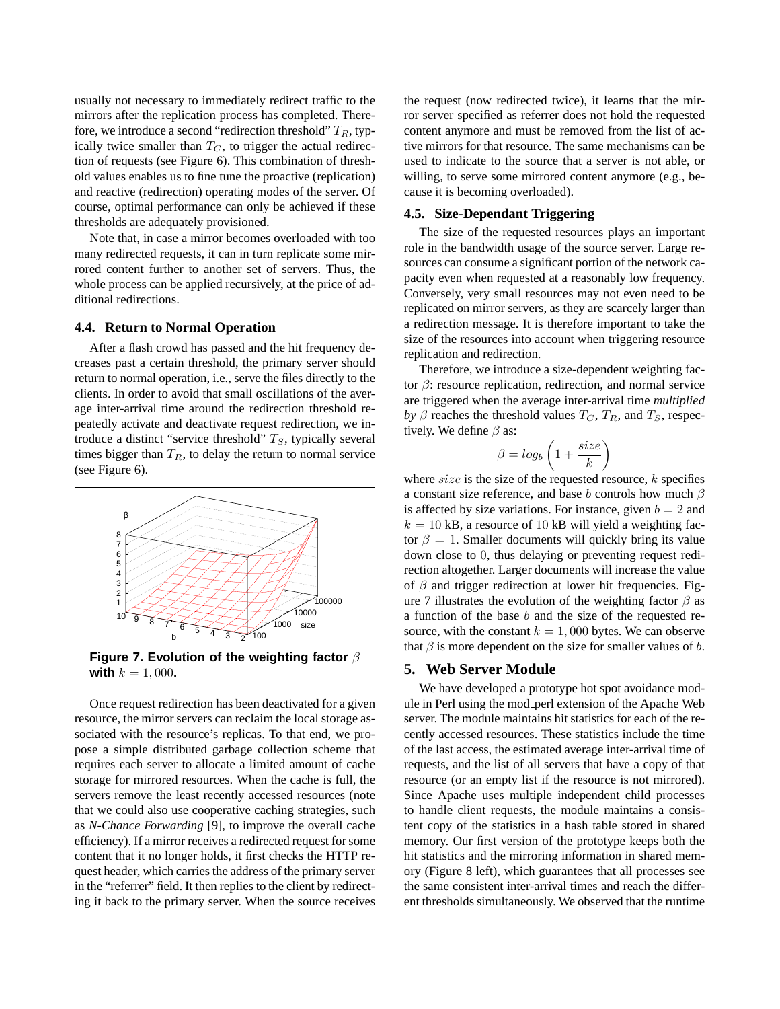usually not necessary to immediately redirect traffic to the mirrors after the replication process has completed. Therefore, we introduce a second "redirection threshold"  $T_R$ , typically twice smaller than  $T_C$ , to trigger the actual redirection of requests (see Figure 6). This combination of threshold values enables us to fine tune the proactive (replication) and reactive (redirection) operating modes of the server. Of course, optimal performance can only be achieved if these thresholds are adequately provisioned.

Note that, in case a mirror becomes overloaded with too many redirected requests, it can in turn replicate some mirrored content further to another set of servers. Thus, the whole process can be applied recursively, at the price of additional redirections.

#### **4.4. Return to Normal Operation**

After a flash crowd has passed and the hit frequency decreases past a certain threshold, the primary server should return to normal operation, i.e., serve the files directly to the clients. In order to avoid that small oscillations of the average inter-arrival time around the redirection threshold repeatedly activate and deactivate request redirection, we introduce a distinct "service threshold"  $T<sub>S</sub>$ , typically several times bigger than  $T_R$ , to delay the return to normal service (see Figure 6).



**Figure 7. Evolution of the weighting factor** β **with**  $k = 1,000$ .

Once request redirection has been deactivated for a given resource, the mirror servers can reclaim the local storage associated with the resource's replicas. To that end, we propose a simple distributed garbage collection scheme that requires each server to allocate a limited amount of cache storage for mirrored resources. When the cache is full, the servers remove the least recently accessed resources (note that we could also use cooperative caching strategies, such as *N-Chance Forwarding* [9], to improve the overall cache efficiency). If a mirror receives a redirected request for some content that it no longer holds, it first checks the HTTP request header, which carries the address of the primary server in the "referrer" field. It then replies to the client by redirecting it back to the primary server. When the source receives

the request (now redirected twice), it learns that the mirror server specified as referrer does not hold the requested content anymore and must be removed from the list of active mirrors for that resource. The same mechanisms can be used to indicate to the source that a server is not able, or willing, to serve some mirrored content anymore (e.g., because it is becoming overloaded).

### **4.5. Size-Dependant Triggering**

The size of the requested resources plays an important role in the bandwidth usage of the source server. Large resources can consume a significant portion of the network capacity even when requested at a reasonably low frequency. Conversely, very small resources may not even need to be replicated on mirror servers, as they are scarcely larger than a redirection message. It is therefore important to take the size of the resources into account when triggering resource replication and redirection.

Therefore, we introduce a size-dependent weighting factor  $\beta$ : resource replication, redirection, and normal service are triggered when the average inter-arrival time *multiplied by*  $\beta$  reaches the threshold values  $T_C$ ,  $T_R$ , and  $T_S$ , respectively. We define  $\beta$  as:

$$
\beta = log_b \left( 1 + \frac{size}{k} \right)
$$

where  $size$  is the size of the requested resource,  $k$  specifies a constant size reference, and base b controls how much  $\beta$ is affected by size variations. For instance, given  $b = 2$  and  $k = 10$  kB, a resource of 10 kB will yield a weighting factor  $\beta = 1$ . Smaller documents will quickly bring its value down close to 0, thus delaying or preventing request redirection altogether. Larger documents will increase the value of  $\beta$  and trigger redirection at lower hit frequencies. Figure 7 illustrates the evolution of the weighting factor  $\beta$  as a function of the base b and the size of the requested resource, with the constant  $k = 1,000$  bytes. We can observe that  $\beta$  is more dependent on the size for smaller values of b.

### **5. Web Server Module**

We have developed a prototype hot spot avoidance module in Perl using the mod perl extension of the Apache Web server. The module maintains hit statistics for each of the recently accessed resources. These statistics include the time of the last access, the estimated average inter-arrival time of requests, and the list of all servers that have a copy of that resource (or an empty list if the resource is not mirrored). Since Apache uses multiple independent child processes to handle client requests, the module maintains a consistent copy of the statistics in a hash table stored in shared memory. Our first version of the prototype keeps both the hit statistics and the mirroring information in shared memory (Figure 8 left), which guarantees that all processes see the same consistent inter-arrival times and reach the different thresholds simultaneously. We observed that the runtime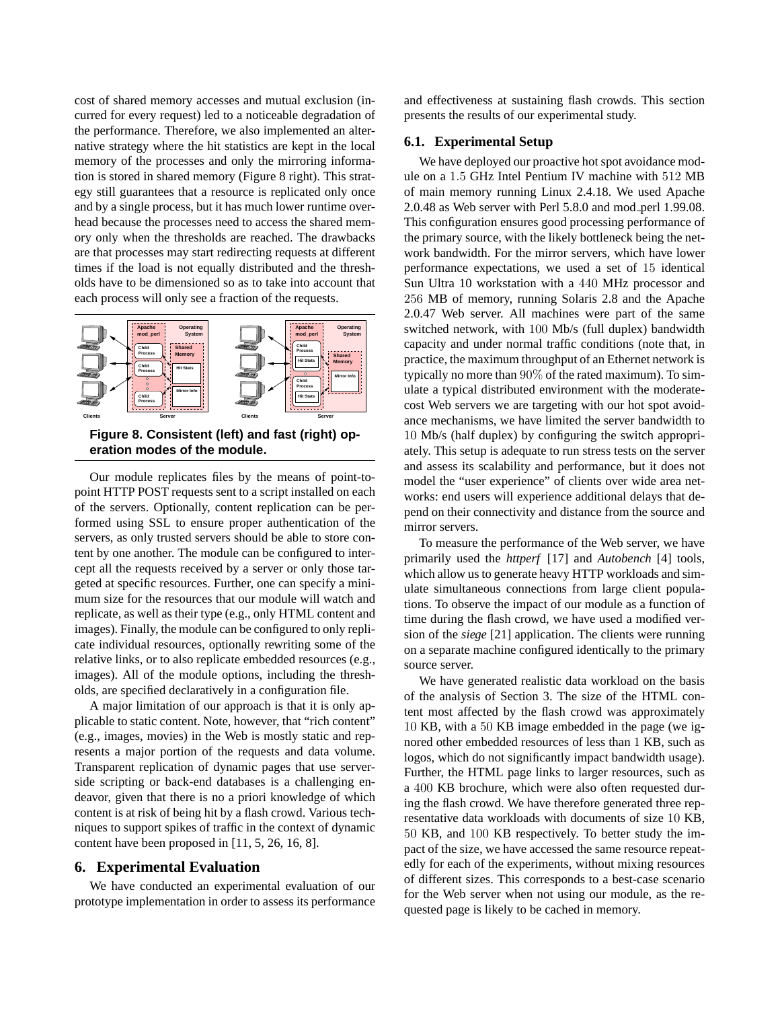cost of shared memory accesses and mutual exclusion (incurred for every request) led to a noticeable degradation of the performance. Therefore, we also implemented an alternative strategy where the hit statistics are kept in the local memory of the processes and only the mirroring information is stored in shared memory (Figure 8 right). This strategy still guarantees that a resource is replicated only once and by a single process, but it has much lower runtime overhead because the processes need to access the shared memory only when the thresholds are reached. The drawbacks are that processes may start redirecting requests at different times if the load is not equally distributed and the thresholds have to be dimensioned so as to take into account that each process will only see a fraction of the requests.



Our module replicates files by the means of point-topoint HTTP POST requests sent to a script installed on each of the servers. Optionally, content replication can be performed using SSL to ensure proper authentication of the servers, as only trusted servers should be able to store content by one another. The module can be configured to intercept all the requests received by a server or only those targeted at specific resources. Further, one can specify a minimum size for the resources that our module will watch and replicate, as well as their type (e.g., only HTML content and images). Finally, the module can be configured to only replicate individual resources, optionally rewriting some of the relative links, or to also replicate embedded resources (e.g., images). All of the module options, including the thresholds, are specified declaratively in a configuration file.

A major limitation of our approach is that it is only applicable to static content. Note, however, that "rich content" (e.g., images, movies) in the Web is mostly static and represents a major portion of the requests and data volume. Transparent replication of dynamic pages that use serverside scripting or back-end databases is a challenging endeavor, given that there is no a priori knowledge of which content is at risk of being hit by a flash crowd. Various techniques to support spikes of traffic in the context of dynamic content have been proposed in [11, 5, 26, 16, 8].

### **6. Experimental Evaluation**

We have conducted an experimental evaluation of our prototype implementation in order to assess its performance and effectiveness at sustaining flash crowds. This section presents the results of our experimental study.

### **6.1. Experimental Setup**

We have deployed our proactive hot spot avoidance module on a 1.5 GHz Intel Pentium IV machine with 512 MB of main memory running Linux 2.4.18. We used Apache 2.0.48 as Web server with Perl 5.8.0 and mod perl 1.99.08. This configuration ensures good processing performance of the primary source, with the likely bottleneck being the network bandwidth. For the mirror servers, which have lower performance expectations, we used a set of 15 identical Sun Ultra 10 workstation with a 440 MHz processor and 256 MB of memory, running Solaris 2.8 and the Apache 2.0.47 Web server. All machines were part of the same switched network, with 100 Mb/s (full duplex) bandwidth capacity and under normal traffic conditions (note that, in practice, the maximum throughput of an Ethernet network is typically no more than 90% of the rated maximum). To simulate a typical distributed environment with the moderatecost Web servers we are targeting with our hot spot avoidance mechanisms, we have limited the server bandwidth to 10 Mb/s (half duplex) by configuring the switch appropriately. This setup is adequate to run stress tests on the server and assess its scalability and performance, but it does not model the "user experience" of clients over wide area networks: end users will experience additional delays that depend on their connectivity and distance from the source and mirror servers.

To measure the performance of the Web server, we have primarily used the *httperf* [17] and *Autobench* [4] tools, which allow us to generate heavy HTTP workloads and simulate simultaneous connections from large client populations. To observe the impact of our module as a function of time during the flash crowd, we have used a modified version of the *siege* [21] application. The clients were running on a separate machine configured identically to the primary source server.

We have generated realistic data workload on the basis of the analysis of Section 3. The size of the HTML content most affected by the flash crowd was approximately 10 KB, with a 50 KB image embedded in the page (we ignored other embedded resources of less than 1 KB, such as logos, which do not significantly impact bandwidth usage). Further, the HTML page links to larger resources, such as a 400 KB brochure, which were also often requested during the flash crowd. We have therefore generated three representative data workloads with documents of size 10 KB, 50 KB, and 100 KB respectively. To better study the impact of the size, we have accessed the same resource repeatedly for each of the experiments, without mixing resources of different sizes. This corresponds to a best-case scenario for the Web server when not using our module, as the requested page is likely to be cached in memory.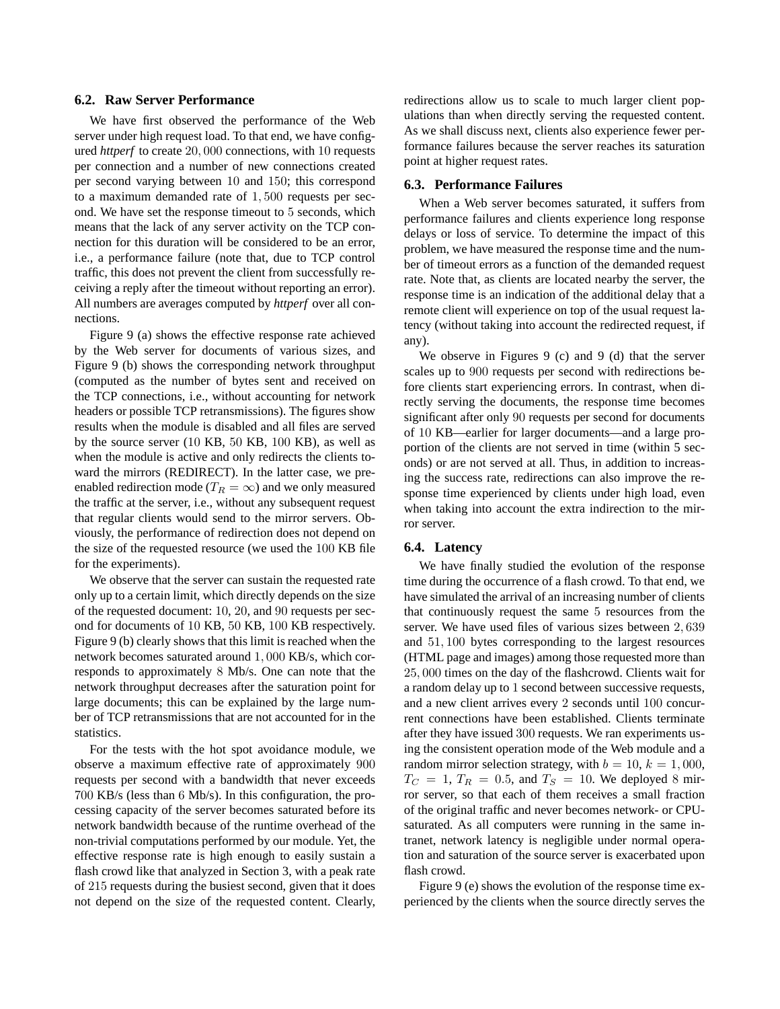### **6.2. Raw Server Performance**

We have first observed the performance of the Web server under high request load. To that end, we have configured *httperf* to create 20, 000 connections, with 10 requests per connection and a number of new connections created per second varying between 10 and 150; this correspond to a maximum demanded rate of 1, 500 requests per second. We have set the response timeout to 5 seconds, which means that the lack of any server activity on the TCP connection for this duration will be considered to be an error, i.e., a performance failure (note that, due to TCP control traffic, this does not prevent the client from successfully receiving a reply after the timeout without reporting an error). All numbers are averages computed by *httperf* over all connections.

Figure 9 (a) shows the effective response rate achieved by the Web server for documents of various sizes, and Figure 9 (b) shows the corresponding network throughput (computed as the number of bytes sent and received on the TCP connections, i.e., without accounting for network headers or possible TCP retransmissions). The figures show results when the module is disabled and all files are served by the source server (10 KB, 50 KB, 100 KB), as well as when the module is active and only redirects the clients toward the mirrors (REDIRECT). In the latter case, we preenabled redirection mode ( $T_R = \infty$ ) and we only measured the traffic at the server, i.e., without any subsequent request that regular clients would send to the mirror servers. Obviously, the performance of redirection does not depend on the size of the requested resource (we used the 100 KB file for the experiments).

We observe that the server can sustain the requested rate only up to a certain limit, which directly depends on the size of the requested document: 10, 20, and 90 requests per second for documents of 10 KB, 50 KB, 100 KB respectively. Figure 9 (b) clearly shows that this limit is reached when the network becomes saturated around 1, 000 KB/s, which corresponds to approximately 8 Mb/s. One can note that the network throughput decreases after the saturation point for large documents; this can be explained by the large number of TCP retransmissions that are not accounted for in the statistics.

For the tests with the hot spot avoidance module, we observe a maximum effective rate of approximately 900 requests per second with a bandwidth that never exceeds 700 KB/s (less than 6 Mb/s). In this configuration, the processing capacity of the server becomes saturated before its network bandwidth because of the runtime overhead of the non-trivial computations performed by our module. Yet, the effective response rate is high enough to easily sustain a flash crowd like that analyzed in Section 3, with a peak rate of 215 requests during the busiest second, given that it does not depend on the size of the requested content. Clearly, redirections allow us to scale to much larger client populations than when directly serving the requested content. As we shall discuss next, clients also experience fewer performance failures because the server reaches its saturation point at higher request rates.

#### **6.3. Performance Failures**

When a Web server becomes saturated, it suffers from performance failures and clients experience long response delays or loss of service. To determine the impact of this problem, we have measured the response time and the number of timeout errors as a function of the demanded request rate. Note that, as clients are located nearby the server, the response time is an indication of the additional delay that a remote client will experience on top of the usual request latency (without taking into account the redirected request, if any).

We observe in Figures 9 (c) and 9 (d) that the server scales up to 900 requests per second with redirections before clients start experiencing errors. In contrast, when directly serving the documents, the response time becomes significant after only 90 requests per second for documents of 10 KB—earlier for larger documents—and a large proportion of the clients are not served in time (within 5 seconds) or are not served at all. Thus, in addition to increasing the success rate, redirections can also improve the response time experienced by clients under high load, even when taking into account the extra indirection to the mirror server.

#### **6.4. Latency**

We have finally studied the evolution of the response time during the occurrence of a flash crowd. To that end, we have simulated the arrival of an increasing number of clients that continuously request the same 5 resources from the server. We have used files of various sizes between 2, 639 and 51, 100 bytes corresponding to the largest resources (HTML page and images) among those requested more than 25, 000 times on the day of the flashcrowd. Clients wait for a random delay up to 1 second between successive requests, and a new client arrives every 2 seconds until 100 concurrent connections have been established. Clients terminate after they have issued 300 requests. We ran experiments using the consistent operation mode of the Web module and a random mirror selection strategy, with  $b = 10$ ,  $k = 1,000$ ,  $T_C = 1$ ,  $T_R = 0.5$ , and  $T_S = 10$ . We deployed 8 mirror server, so that each of them receives a small fraction of the original traffic and never becomes network- or CPUsaturated. As all computers were running in the same intranet, network latency is negligible under normal operation and saturation of the source server is exacerbated upon flash crowd.

Figure 9 (e) shows the evolution of the response time experienced by the clients when the source directly serves the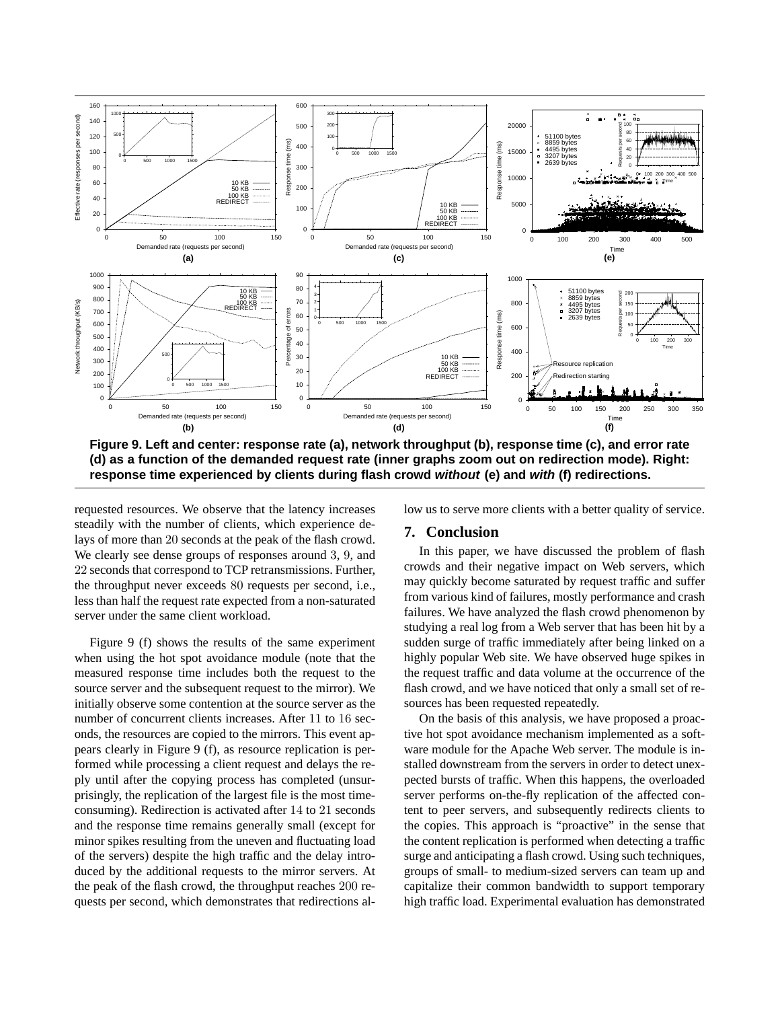

**Figure 9. Left and center: response rate (a), network throughput (b), response time (c), and error rate (d) as a function of the demanded request rate (inner graphs zoom out on redirection mode). Right: response time experienced by clients during flash crowd without (e) and with (f) redirections.**

requested resources. We observe that the latency increases steadily with the number of clients, which experience delays of more than 20 seconds at the peak of the flash crowd. We clearly see dense groups of responses around 3, 9, and 22 seconds that correspond to TCP retransmissions. Further, the throughput never exceeds 80 requests per second, i.e., less than half the request rate expected from a non-saturated server under the same client workload.

Figure 9 (f) shows the results of the same experiment when using the hot spot avoidance module (note that the measured response time includes both the request to the source server and the subsequent request to the mirror). We initially observe some contention at the source server as the number of concurrent clients increases. After 11 to 16 seconds, the resources are copied to the mirrors. This event appears clearly in Figure 9 (f), as resource replication is performed while processing a client request and delays the reply until after the copying process has completed (unsurprisingly, the replication of the largest file is the most timeconsuming). Redirection is activated after 14 to 21 seconds and the response time remains generally small (except for minor spikes resulting from the uneven and fluctuating load of the servers) despite the high traffic and the delay introduced by the additional requests to the mirror servers. At the peak of the flash crowd, the throughput reaches 200 requests per second, which demonstrates that redirections allow us to serve more clients with a better quality of service.

## **7. Conclusion**

In this paper, we have discussed the problem of flash crowds and their negative impact on Web servers, which may quickly become saturated by request traffic and suffer from various kind of failures, mostly performance and crash failures. We have analyzed the flash crowd phenomenon by studying a real log from a Web server that has been hit by a sudden surge of traffic immediately after being linked on a highly popular Web site. We have observed huge spikes in the request traffic and data volume at the occurrence of the flash crowd, and we have noticed that only a small set of resources has been requested repeatedly.

On the basis of this analysis, we have proposed a proactive hot spot avoidance mechanism implemented as a software module for the Apache Web server. The module is installed downstream from the servers in order to detect unexpected bursts of traffic. When this happens, the overloaded server performs on-the-fly replication of the affected content to peer servers, and subsequently redirects clients to the copies. This approach is "proactive" in the sense that the content replication is performed when detecting a traffic surge and anticipating a flash crowd. Using such techniques, groups of small- to medium-sized servers can team up and capitalize their common bandwidth to support temporary high traffic load. Experimental evaluation has demonstrated